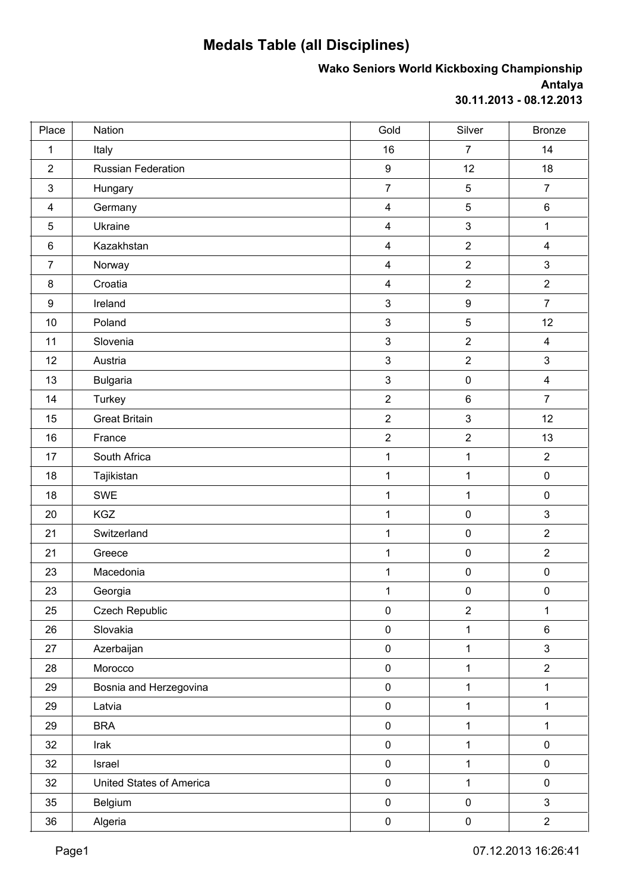## **Medals Table (all Disciplines)**

## **Wako Seniors World Kickboxing Championship Antalya 30.11.2013 - 08.12.2013**

| Place          | Nation                   | Gold                    | Silver           | <b>Bronze</b>  |
|----------------|--------------------------|-------------------------|------------------|----------------|
| $\mathbf{1}$   | Italy                    | 16                      | $\overline{7}$   | 14             |
| $\overline{2}$ | Russian Federation       | $\boldsymbol{9}$        | 12               | 18             |
| $\mathbf{3}$   | Hungary                  | $\overline{7}$          | 5                | $\overline{7}$ |
| $\overline{4}$ | Germany                  | $\overline{\mathbf{4}}$ | 5                | $\,6\,$        |
| 5              | Ukraine                  | $\overline{\mathbf{4}}$ | $\mathbf{3}$     | 1              |
| $\,6$          | Kazakhstan               | $\overline{\mathbf{4}}$ | $\sqrt{2}$       | $\overline{4}$ |
| $\overline{7}$ | Norway                   | $\overline{4}$          | $\overline{2}$   | 3              |
| 8              | Croatia                  | $\overline{\mathbf{4}}$ | $\sqrt{2}$       | $\overline{2}$ |
| 9              | Ireland                  | 3                       | $\boldsymbol{9}$ | $\overline{7}$ |
| 10             | Poland                   | $\mathfrak{S}$          | $\sqrt{5}$       | 12             |
| 11             | Slovenia                 | $\mathfrak{S}$          | $\sqrt{2}$       | $\overline{4}$ |
| 12             | Austria                  | 3                       | $\sqrt{2}$       | $\mathfrak{S}$ |
| 13             | <b>Bulgaria</b>          | $\mathfrak{S}$          | $\pmb{0}$        | $\overline{4}$ |
| 14             | Turkey                   | $\overline{2}$          | $\,6\,$          | $\overline{7}$ |
| 15             | <b>Great Britain</b>     | $\overline{2}$          | $\sqrt{3}$       | 12             |
| 16             | France                   | $\overline{2}$          | $\overline{2}$   | 13             |
| 17             | South Africa             | $\mathbf{1}$            | $\mathbf{1}$     | $\overline{2}$ |
| 18             | Tajikistan               | $\mathbf{1}$            | $\mathbf 1$      | $\pmb{0}$      |
| 18             | <b>SWE</b>               | $\mathbf{1}$            | $\mathbf 1$      | $\pmb{0}$      |
| 20             | <b>KGZ</b>               | 1                       | $\pmb{0}$        | $\mathfrak{S}$ |
| 21             | Switzerland              | 1                       | $\pmb{0}$        | $\overline{2}$ |
| 21             | Greece                   | $\mathbf{1}$            | $\pmb{0}$        | $\overline{2}$ |
| 23             | Macedonia                | $\mathbf 1$             | $\pmb{0}$        | $\pmb{0}$      |
| 23             | Georgia                  | 1                       | $\pmb{0}$        | $\pmb{0}$      |
| 25             | Czech Republic           | $\pmb{0}$               | $\overline{2}$   | $\mathbf{1}$   |
| 26             | Slovakia                 | $\pmb{0}$               | 1                | $\,6\,$        |
| 27             | Azerbaijan               | $\pmb{0}$               | $\mathbf{1}$     | 3              |
| 28             | Morocco                  | $\pmb{0}$               | $\mathbf 1$      | $\overline{2}$ |
| 29             | Bosnia and Herzegovina   | $\pmb{0}$               | $\mathbf{1}$     | $\mathbf{1}$   |
| 29             | Latvia                   | $\pmb{0}$               | 1                | $\mathbf 1$    |
| 29             | <b>BRA</b>               | $\pmb{0}$               | $\mathbf{1}$     | $\mathbf{1}$   |
| 32             | Irak                     | $\pmb{0}$               | $\mathbf 1$      | $\pmb{0}$      |
| 32             | Israel                   | $\pmb{0}$               | $\mathbf{1}$     | $\pmb{0}$      |
| 32             | United States of America | $\pmb{0}$               | $\mathbf{1}$     | $\pmb{0}$      |
| 35             | Belgium                  | $\pmb{0}$               | $\pmb{0}$        | $\mathfrak{S}$ |
| 36             | Algeria                  | $\pmb{0}$               | $\pmb{0}$        | $\overline{2}$ |